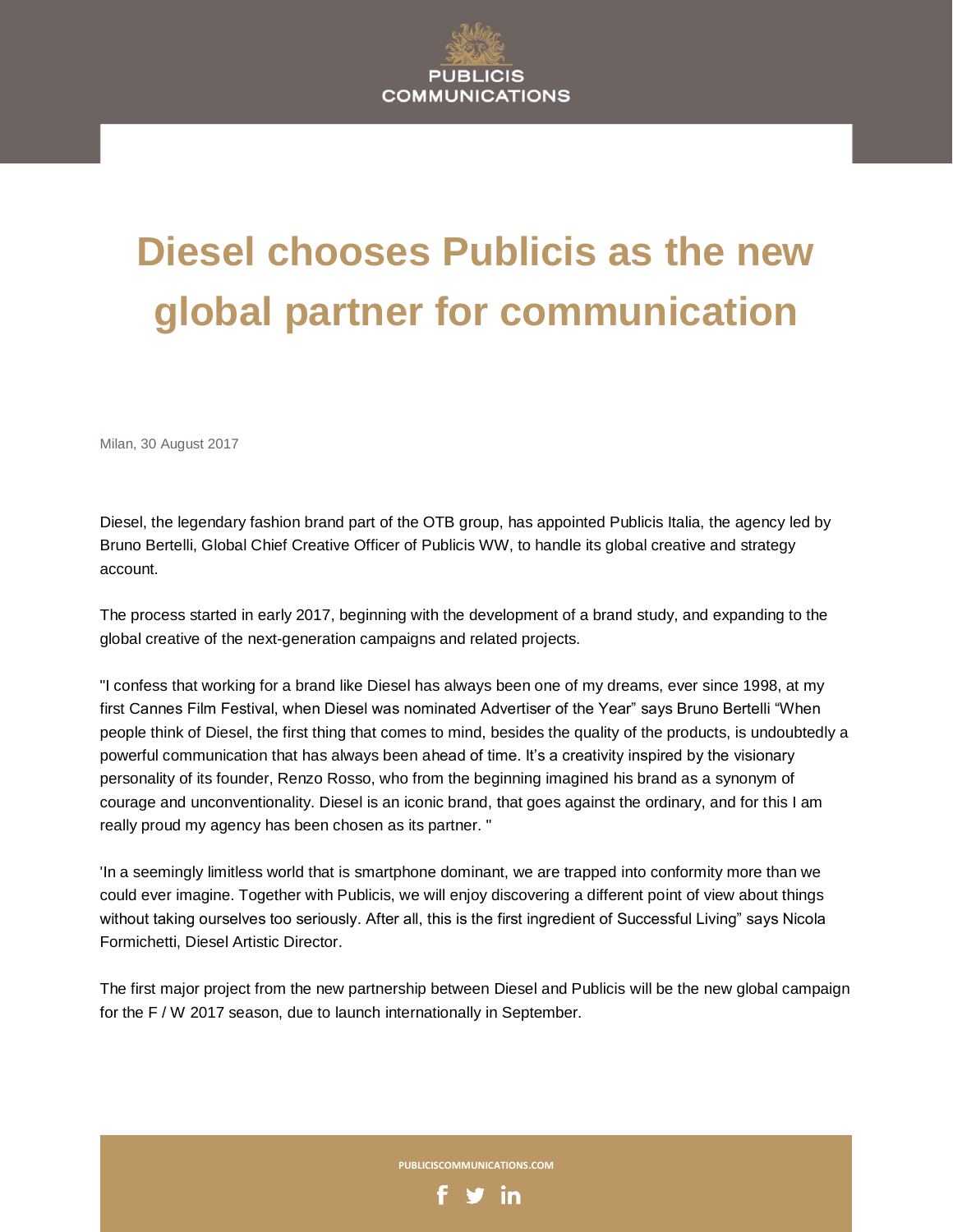## **Diesel chooses Publicis as the new global partner for communication**

Milan, 30 August 2017

Diesel, the legendary fashion brand part of the OTB group, has appointed Publicis Italia, the agency led by Bruno Bertelli, Global Chief Creative Officer of Publicis WW, to handle its global creative and strategy account.

The process started in early 2017, beginning with the development of a brand study, and expanding to the global creative of the next-generation campaigns and related projects.

"I confess that working for a brand like Diesel has always been one of my dreams, ever since 1998, at my first Cannes Film Festival, when Diesel was nominated Advertiser of the Year" says Bruno Bertelli "When people think of Diesel, the first thing that comes to mind, besides the quality of the products, is undoubtedly a powerful communication that has always been ahead of time. It's a creativity inspired by the visionary personality of its founder, Renzo Rosso, who from the beginning imagined his brand as a synonym of courage and unconventionality. Diesel is an iconic brand, that goes against the ordinary, and for this I am really proud my agency has been chosen as its partner. "

'In a seemingly limitless world that is smartphone dominant, we are trapped into conformity more than we could ever imagine. Together with Publicis, we will enjoy discovering a different point of view about things without taking ourselves too seriously. After all, this is the first ingredient of Successful Living" says Nicola Formichetti, Diesel Artistic Director.

The first major project from the new partnership between Diesel and Publicis will be the new global campaign for the F / W 2017 season, due to launch internationally in September.

**PUBLICISCOMMUNICATIONS.COM**

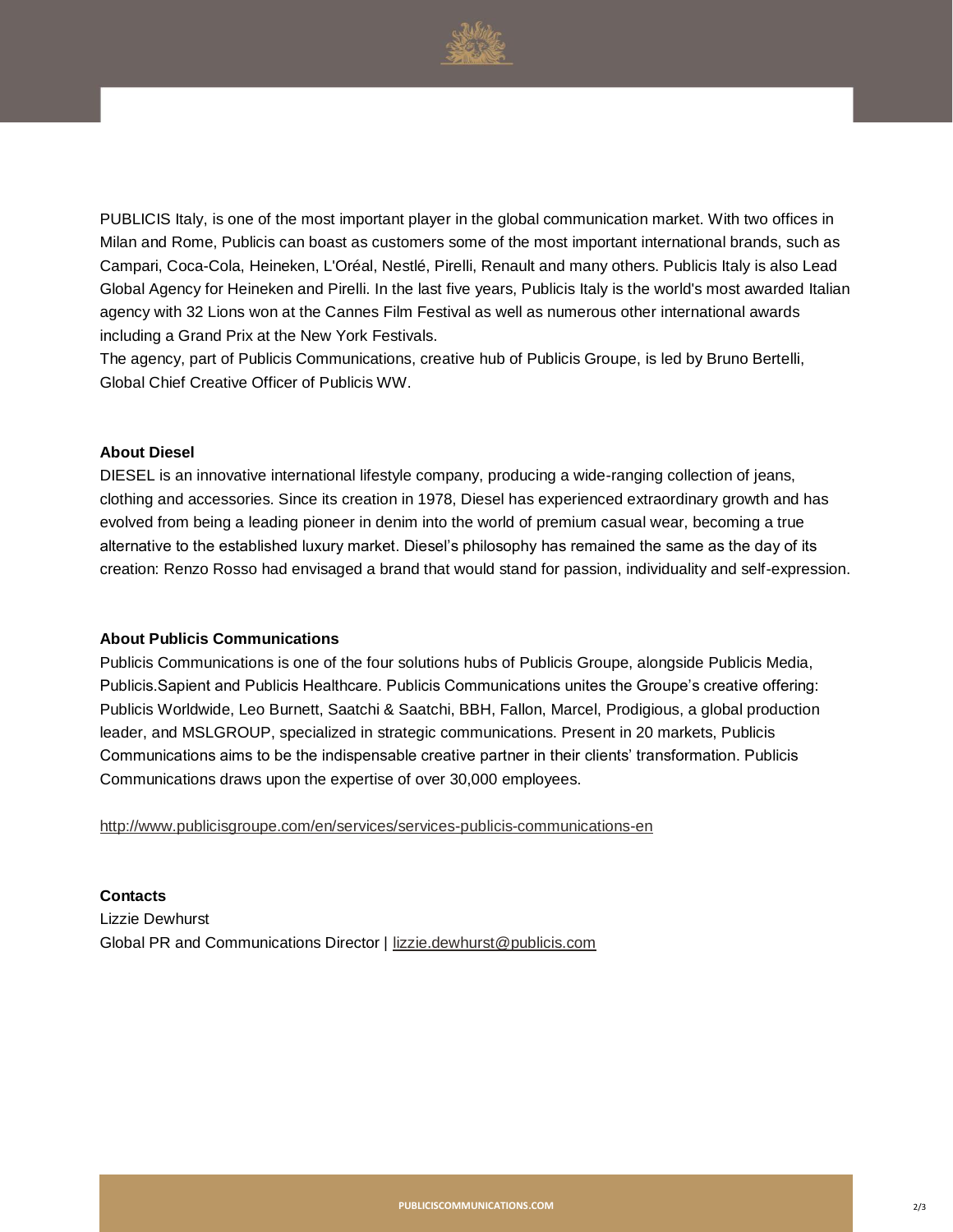

PUBLICIS Italy, is one of the most important player in the global communication market. With two offices in Milan and Rome, Publicis can boast as customers some of the most important international brands, such as Campari, Coca-Cola, Heineken, L'Oréal, Nestlé, Pirelli, Renault and many others. Publicis Italy is also Lead Global Agency for Heineken and Pirelli. In the last five years, Publicis Italy is the world's most awarded Italian agency with 32 Lions won at the Cannes Film Festival as well as numerous other international awards including a Grand Prix at the New York Festivals.

The agency, part of Publicis Communications, creative hub of Publicis Groupe, is led by Bruno Bertelli, Global Chief Creative Officer of Publicis WW.

## **About Diesel**

DIESEL is an innovative international lifestyle company, producing a wide-ranging collection of jeans, clothing and accessories. Since its creation in 1978, Diesel has experienced extraordinary growth and has evolved from being a leading pioneer in denim into the world of premium casual wear, becoming a true alternative to the established luxury market. Diesel's philosophy has remained the same as the day of its creation: Renzo Rosso had envisaged a brand that would stand for passion, individuality and self-expression.

## **About Publicis Communications**

Publicis Communications is one of the four solutions hubs of Publicis Groupe, alongside Publicis Media, Publicis.Sapient and Publicis Healthcare. Publicis Communications unites the Groupe's creative offering: Publicis Worldwide, Leo Burnett, Saatchi & Saatchi, BBH, Fallon, Marcel, Prodigious, a global production leader, and MSLGROUP, specialized in strategic communications. Present in 20 markets, Publicis Communications aims to be the indispensable creative partner in their clients' transformation. Publicis Communications draws upon the expertise of over 30,000 employees.

<http://www.publicisgroupe.com/en/services/services-publicis-communications-en>

**Contacts** Lizzie Dewhurst Global PR and Communications Director | [lizzie.dewhurst@publicis.com](mailto:lizzie.dewhurst@publicis.com)